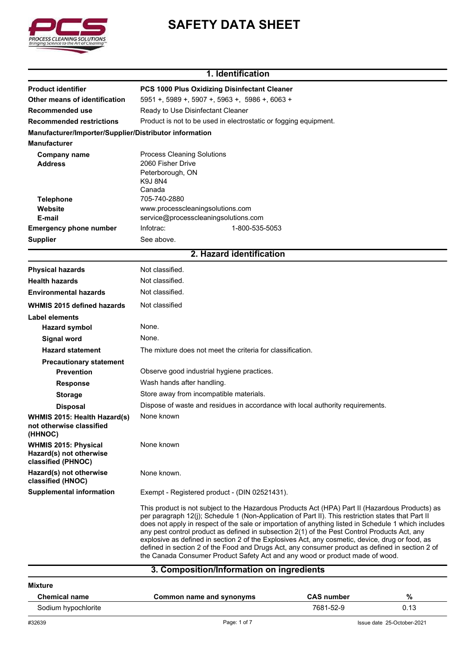

# **SAFETY DATA SHEET**

#### **1. Identification**

| <b>Product identifier</b>                                                    | PCS 1000 Plus Oxidizing Disinfectant Cleaner                                                                                                                                                                                                                                                                                                                                                                                                                                                                                                                                                                                                                                                        |  |  |
|------------------------------------------------------------------------------|-----------------------------------------------------------------------------------------------------------------------------------------------------------------------------------------------------------------------------------------------------------------------------------------------------------------------------------------------------------------------------------------------------------------------------------------------------------------------------------------------------------------------------------------------------------------------------------------------------------------------------------------------------------------------------------------------------|--|--|
| Other means of identification                                                | 5951 +, 5989 +, 5907 +, 5963 +, 5986 +, 6063 +<br>Ready to Use Disinfectant Cleaner<br>Product is not to be used in electrostatic or fogging equipment.                                                                                                                                                                                                                                                                                                                                                                                                                                                                                                                                             |  |  |
| <b>Recommended use</b>                                                       |                                                                                                                                                                                                                                                                                                                                                                                                                                                                                                                                                                                                                                                                                                     |  |  |
| <b>Recommended restrictions</b>                                              |                                                                                                                                                                                                                                                                                                                                                                                                                                                                                                                                                                                                                                                                                                     |  |  |
| Manufacturer/Importer/Supplier/Distributor information                       |                                                                                                                                                                                                                                                                                                                                                                                                                                                                                                                                                                                                                                                                                                     |  |  |
| <b>Manufacturer</b>                                                          |                                                                                                                                                                                                                                                                                                                                                                                                                                                                                                                                                                                                                                                                                                     |  |  |
| <b>Company name</b>                                                          | <b>Process Cleaning Solutions</b>                                                                                                                                                                                                                                                                                                                                                                                                                                                                                                                                                                                                                                                                   |  |  |
| <b>Address</b>                                                               | 2060 Fisher Drive                                                                                                                                                                                                                                                                                                                                                                                                                                                                                                                                                                                                                                                                                   |  |  |
|                                                                              | Peterborough, ON<br>K9J 8N4                                                                                                                                                                                                                                                                                                                                                                                                                                                                                                                                                                                                                                                                         |  |  |
|                                                                              | Canada                                                                                                                                                                                                                                                                                                                                                                                                                                                                                                                                                                                                                                                                                              |  |  |
| <b>Telephone</b>                                                             | 705-740-2880                                                                                                                                                                                                                                                                                                                                                                                                                                                                                                                                                                                                                                                                                        |  |  |
| Website                                                                      | www.processcleaningsolutions.com                                                                                                                                                                                                                                                                                                                                                                                                                                                                                                                                                                                                                                                                    |  |  |
| E-mail                                                                       | service@processcleaningsolutions.com                                                                                                                                                                                                                                                                                                                                                                                                                                                                                                                                                                                                                                                                |  |  |
| <b>Emergency phone number</b>                                                | 1-800-535-5053<br>Infotrac:                                                                                                                                                                                                                                                                                                                                                                                                                                                                                                                                                                                                                                                                         |  |  |
| <b>Supplier</b>                                                              | See above.                                                                                                                                                                                                                                                                                                                                                                                                                                                                                                                                                                                                                                                                                          |  |  |
|                                                                              | 2. Hazard identification                                                                                                                                                                                                                                                                                                                                                                                                                                                                                                                                                                                                                                                                            |  |  |
| <b>Physical hazards</b>                                                      | Not classified.                                                                                                                                                                                                                                                                                                                                                                                                                                                                                                                                                                                                                                                                                     |  |  |
| <b>Health hazards</b>                                                        | Not classified.                                                                                                                                                                                                                                                                                                                                                                                                                                                                                                                                                                                                                                                                                     |  |  |
| <b>Environmental hazards</b>                                                 | Not classified.                                                                                                                                                                                                                                                                                                                                                                                                                                                                                                                                                                                                                                                                                     |  |  |
| WHMIS 2015 defined hazards                                                   | Not classified                                                                                                                                                                                                                                                                                                                                                                                                                                                                                                                                                                                                                                                                                      |  |  |
| <b>Label elements</b>                                                        |                                                                                                                                                                                                                                                                                                                                                                                                                                                                                                                                                                                                                                                                                                     |  |  |
| <b>Hazard symbol</b>                                                         | None.                                                                                                                                                                                                                                                                                                                                                                                                                                                                                                                                                                                                                                                                                               |  |  |
| <b>Signal word</b>                                                           | None.                                                                                                                                                                                                                                                                                                                                                                                                                                                                                                                                                                                                                                                                                               |  |  |
| <b>Hazard statement</b>                                                      | The mixture does not meet the criteria for classification.                                                                                                                                                                                                                                                                                                                                                                                                                                                                                                                                                                                                                                          |  |  |
| <b>Precautionary statement</b>                                               |                                                                                                                                                                                                                                                                                                                                                                                                                                                                                                                                                                                                                                                                                                     |  |  |
| <b>Prevention</b>                                                            | Observe good industrial hygiene practices.                                                                                                                                                                                                                                                                                                                                                                                                                                                                                                                                                                                                                                                          |  |  |
| <b>Response</b>                                                              | Wash hands after handling.                                                                                                                                                                                                                                                                                                                                                                                                                                                                                                                                                                                                                                                                          |  |  |
| <b>Storage</b>                                                               | Store away from incompatible materials.                                                                                                                                                                                                                                                                                                                                                                                                                                                                                                                                                                                                                                                             |  |  |
| <b>Disposal</b>                                                              | Dispose of waste and residues in accordance with local authority requirements.                                                                                                                                                                                                                                                                                                                                                                                                                                                                                                                                                                                                                      |  |  |
| WHMIS 2015: Health Hazard(s)<br>not otherwise classified<br>(HHNOC)          | None known                                                                                                                                                                                                                                                                                                                                                                                                                                                                                                                                                                                                                                                                                          |  |  |
| <b>WHMIS 2015: Physical</b><br>Hazard(s) not otherwise<br>classified (PHNOC) | None known                                                                                                                                                                                                                                                                                                                                                                                                                                                                                                                                                                                                                                                                                          |  |  |
| Hazard(s) not otherwise<br>classified (HNOC)                                 | None known.                                                                                                                                                                                                                                                                                                                                                                                                                                                                                                                                                                                                                                                                                         |  |  |
| <b>Supplemental information</b>                                              | Exempt - Registered product - (DIN 02521431).                                                                                                                                                                                                                                                                                                                                                                                                                                                                                                                                                                                                                                                       |  |  |
|                                                                              | This product is not subject to the Hazardous Products Act (HPA) Part II (Hazardous Products) as<br>per paragraph 12(j); Schedule 1 (Non-Application of Part II). This restriction states that Part II<br>does not apply in respect of the sale or importation of anything listed in Schedule 1 which includes<br>any pest control product as defined in subsection 2(1) of the Pest Control Products Act, any<br>explosive as defined in section 2 of the Explosives Act, any cosmetic, device, drug or food, as<br>defined in section 2 of the Food and Drugs Act, any consumer product as defined in section 2 of<br>the Canada Consumer Product Safety Act and any wood or product made of wood. |  |  |

### **3. Composition/Information on ingredients**

| <b>Mixture</b>       |                          |                   |                            |
|----------------------|--------------------------|-------------------|----------------------------|
| <b>Chemical name</b> | Common name and synonyms | <b>CAS number</b> | %                          |
| Sodium hypochlorite  |                          | 7681-52-9         | 0.13                       |
| #32639               | Page: 1 of 7             |                   | Issue date 25-October-2021 |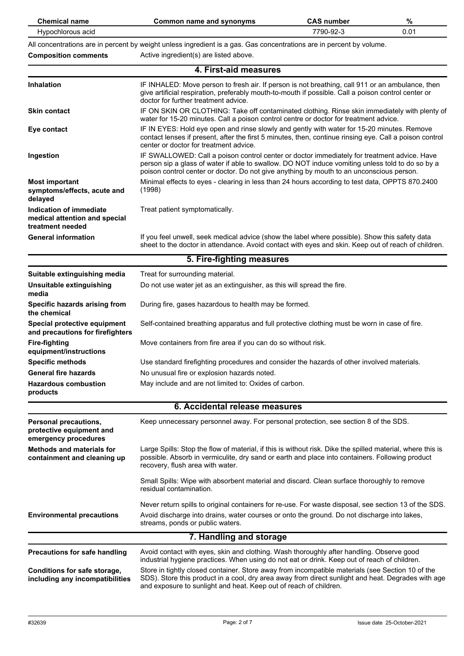| <b>Chemical name</b>                                                         | <b>Common name and synonyms</b>                                                                                                                                                                                                                                                             | <b>CAS number</b> | %    |
|------------------------------------------------------------------------------|---------------------------------------------------------------------------------------------------------------------------------------------------------------------------------------------------------------------------------------------------------------------------------------------|-------------------|------|
| Hypochlorous acid                                                            |                                                                                                                                                                                                                                                                                             | 7790-92-3         | 0.01 |
| <b>Composition comments</b>                                                  | All concentrations are in percent by weight unless ingredient is a gas. Gas concentrations are in percent by volume.<br>Active ingredient(s) are listed above.                                                                                                                              |                   |      |
|                                                                              | 4. First-aid measures                                                                                                                                                                                                                                                                       |                   |      |
|                                                                              |                                                                                                                                                                                                                                                                                             |                   |      |
| <b>Inhalation</b>                                                            | IF INHALED: Move person to fresh air. If person is not breathing, call 911 or an ambulance, then<br>give artificial respiration, preferably mouth-to-mouth if possible. Call a poison control center or<br>doctor for further treatment advice.                                             |                   |      |
| <b>Skin contact</b>                                                          | IF ON SKIN OR CLOTHING: Take off contaminated clothing. Rinse skin immediately with plenty of<br>water for 15-20 minutes. Call a poison control centre or doctor for treatment advice.                                                                                                      |                   |      |
| Eye contact                                                                  | IF IN EYES: Hold eye open and rinse slowly and gently with water for 15-20 minutes. Remove<br>contact lenses if present, after the first 5 minutes, then, continue rinsing eye. Call a poison control<br>center or doctor for treatment advice.                                             |                   |      |
| Ingestion                                                                    | IF SWALLOWED: Call a poison control center or doctor immediately for treatment advice. Have<br>person sip a glass of water if able to swallow. DO NOT induce vomiting unless told to do so by a<br>poison control center or doctor. Do not give anything by mouth to an unconscious person. |                   |      |
| <b>Most important</b><br>symptoms/effects, acute and<br>delayed              | Minimal effects to eyes - clearing in less than 24 hours according to test data, OPPTS 870.2400<br>(1998)                                                                                                                                                                                   |                   |      |
| Indication of immediate<br>medical attention and special<br>treatment needed | Treat patient symptomatically.                                                                                                                                                                                                                                                              |                   |      |
| <b>General information</b>                                                   | If you feel unwell, seek medical advice (show the label where possible). Show this safety data<br>sheet to the doctor in attendance. Avoid contact with eyes and skin. Keep out of reach of children.                                                                                       |                   |      |
| 5. Fire-fighting measures                                                    |                                                                                                                                                                                                                                                                                             |                   |      |
| Suitable extinguishing media                                                 | Treat for surrounding material.                                                                                                                                                                                                                                                             |                   |      |
| Unsuitable extinguishing<br>media                                            | Do not use water jet as an extinguisher, as this will spread the fire.                                                                                                                                                                                                                      |                   |      |
| Specific hazards arising from<br>the chemical                                | During fire, gases hazardous to health may be formed.                                                                                                                                                                                                                                       |                   |      |
| Special protective equipment<br>and precautions for firefighters             | Self-contained breathing apparatus and full protective clothing must be worn in case of fire.                                                                                                                                                                                               |                   |      |
| <b>Fire-fighting</b><br>equipment/instructions                               | Move containers from fire area if you can do so without risk.                                                                                                                                                                                                                               |                   |      |
| <b>Specific methods</b>                                                      | Use standard firefighting procedures and consider the hazards of other involved materials.                                                                                                                                                                                                  |                   |      |
| <b>General fire hazards</b>                                                  | No unusual fire or explosion hazards noted.                                                                                                                                                                                                                                                 |                   |      |
| <b>Hazardous combustion</b><br>products                                      | May include and are not limited to: Oxides of carbon.                                                                                                                                                                                                                                       |                   |      |
|                                                                              | 6. Accidental release measures                                                                                                                                                                                                                                                              |                   |      |
| Personal precautions,<br>protective equipment and<br>emergency procedures    | Keep unnecessary personnel away. For personal protection, see section 8 of the SDS.                                                                                                                                                                                                         |                   |      |
| <b>Methods and materials for</b><br>containment and cleaning up              | Large Spills: Stop the flow of material, if this is without risk. Dike the spilled material, where this is<br>possible. Absorb in vermiculite, dry sand or earth and place into containers. Following product<br>recovery, flush area with water.                                           |                   |      |
|                                                                              | Small Spills: Wipe with absorbent material and discard. Clean surface thoroughly to remove<br>residual contamination.                                                                                                                                                                       |                   |      |
|                                                                              | Never return spills to original containers for re-use. For waste disposal, see section 13 of the SDS.                                                                                                                                                                                       |                   |      |
| <b>Environmental precautions</b>                                             | Avoid discharge into drains, water courses or onto the ground. Do not discharge into lakes,<br>streams, ponds or public waters.                                                                                                                                                             |                   |      |
|                                                                              | 7. Handling and storage                                                                                                                                                                                                                                                                     |                   |      |
| <b>Precautions for safe handling</b>                                         | Avoid contact with eyes, skin and clothing. Wash thoroughly after handling. Observe good<br>industrial hygiene practices. When using do not eat or drink. Keep out of reach of children.                                                                                                    |                   |      |
| Conditions for safe storage,<br>including any incompatibilities              | Store in tightly closed container. Store away from incompatible materials (see Section 10 of the<br>SDS). Store this product in a cool, dry area away from direct sunlight and heat. Degrades with age<br>and exposure to sunlight and heat. Keep out of reach of children.                 |                   |      |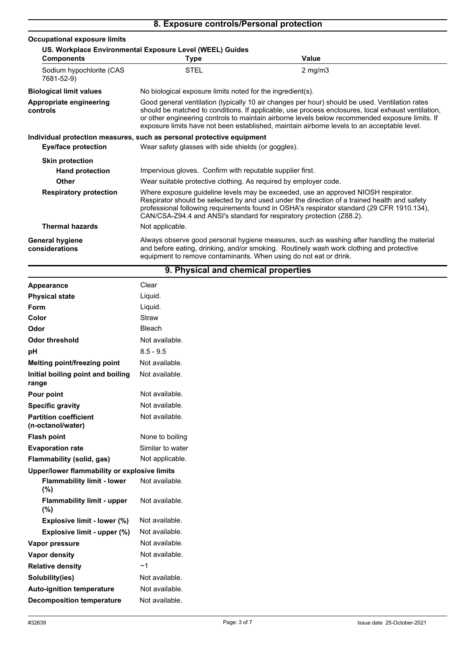## **8. Exposure controls/Personal protection**

| <b>Occupational exposure limits</b>                      |                                                                                                                                                                                                                                                                                                                                                                                                        |                  |  |
|----------------------------------------------------------|--------------------------------------------------------------------------------------------------------------------------------------------------------------------------------------------------------------------------------------------------------------------------------------------------------------------------------------------------------------------------------------------------------|------------------|--|
| US. Workplace Environmental Exposure Level (WEEL) Guides |                                                                                                                                                                                                                                                                                                                                                                                                        |                  |  |
| <b>Components</b>                                        | Type                                                                                                                                                                                                                                                                                                                                                                                                   | Value            |  |
| Sodium hypochlorite (CAS<br>7681-52-9)                   | <b>STEL</b>                                                                                                                                                                                                                                                                                                                                                                                            | $2 \text{ mg/m}$ |  |
| <b>Biological limit values</b>                           | No biological exposure limits noted for the ingredient(s).                                                                                                                                                                                                                                                                                                                                             |                  |  |
| Appropriate engineering<br>controls                      | Good general ventilation (typically 10 air changes per hour) should be used. Ventilation rates<br>should be matched to conditions. If applicable, use process enclosures, local exhaust ventilation,<br>or other engineering controls to maintain airborne levels below recommended exposure limits. If<br>exposure limits have not been established, maintain airborne levels to an acceptable level. |                  |  |
|                                                          | Individual protection measures, such as personal protective equipment                                                                                                                                                                                                                                                                                                                                  |                  |  |
| Eye/face protection                                      | Wear safety glasses with side shields (or goggles).                                                                                                                                                                                                                                                                                                                                                    |                  |  |
| <b>Skin protection</b>                                   |                                                                                                                                                                                                                                                                                                                                                                                                        |                  |  |
| <b>Hand protection</b>                                   | Impervious gloves. Confirm with reputable supplier first.                                                                                                                                                                                                                                                                                                                                              |                  |  |
| Other                                                    | Wear suitable protective clothing. As required by employer code.                                                                                                                                                                                                                                                                                                                                       |                  |  |
| <b>Respiratory protection</b>                            | Where exposure guideline levels may be exceeded, use an approved NIOSH respirator.<br>Respirator should be selected by and used under the direction of a trained health and safety<br>professional following requirements found in OSHA's respirator standard (29 CFR 1910.134),<br>CAN/CSA-Z94.4 and ANSI's standard for respiratory protection (Z88.2).                                              |                  |  |
| <b>Thermal hazards</b>                                   | Not applicable.                                                                                                                                                                                                                                                                                                                                                                                        |                  |  |
| <b>General hygiene</b><br>considerations                 | Always observe good personal hygiene measures, such as washing after handling the material<br>and before eating, drinking, and/or smoking. Routinely wash work clothing and protective<br>equipment to remove contaminants. When using do not eat or drink.                                                                                                                                            |                  |  |

| 9. Physical and chemical properties               |                  |  |  |
|---------------------------------------------------|------------------|--|--|
| Appearance                                        | Clear            |  |  |
| <b>Physical state</b>                             | Liquid.          |  |  |
| <b>Form</b>                                       | Liquid.          |  |  |
| Color                                             | Straw            |  |  |
| Odor                                              | <b>Bleach</b>    |  |  |
| <b>Odor threshold</b>                             | Not available.   |  |  |
| pH                                                | $8.5 - 9.5$      |  |  |
| Melting point/freezing point                      | Not available.   |  |  |
| Initial boiling point and boiling<br>range        | Not available.   |  |  |
| Pour point                                        | Not available.   |  |  |
| <b>Specific gravity</b>                           | Not available.   |  |  |
| <b>Partition coefficient</b><br>(n-octanol/water) | Not available.   |  |  |
| <b>Flash point</b>                                | None to boiling  |  |  |
| <b>Evaporation rate</b>                           | Similar to water |  |  |
| Flammability (solid, gas)                         | Not applicable.  |  |  |
| Upper/lower flammability or explosive limits      |                  |  |  |
| <b>Flammability limit - lower</b><br>(%)          | Not available.   |  |  |
| <b>Flammability limit - upper</b><br>(%)          | Not available.   |  |  |
| Explosive limit - lower (%)                       | Not available.   |  |  |
| Explosive limit - upper (%)                       | Not available.   |  |  |
| Vapor pressure                                    | Not available.   |  |  |
| <b>Vapor density</b>                              | Not available.   |  |  |
| <b>Relative density</b>                           | ~1               |  |  |
| Solubility(ies)                                   | Not available.   |  |  |
| <b>Auto-ignition temperature</b>                  | Not available.   |  |  |
| <b>Decomposition temperature</b>                  | Not available.   |  |  |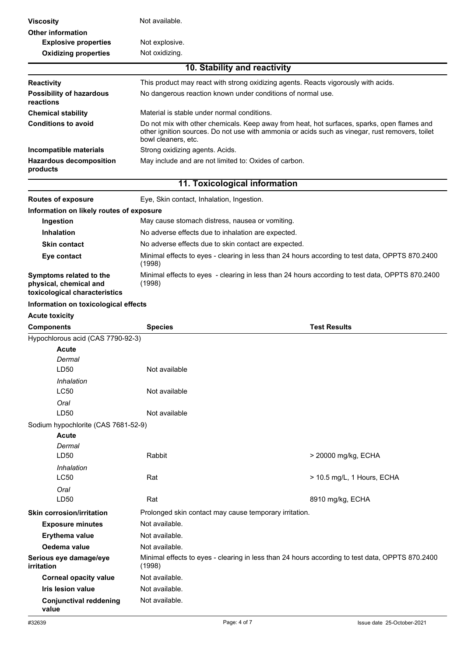| <b>Viscosity</b>                                                                   | Not available.                                                                                            |                                                                                                                                                                                                |  |
|------------------------------------------------------------------------------------|-----------------------------------------------------------------------------------------------------------|------------------------------------------------------------------------------------------------------------------------------------------------------------------------------------------------|--|
| <b>Other information</b>                                                           |                                                                                                           |                                                                                                                                                                                                |  |
| <b>Explosive properties</b>                                                        | Not explosive.                                                                                            |                                                                                                                                                                                                |  |
| <b>Oxidizing properties</b>                                                        | Not oxidizing.                                                                                            |                                                                                                                                                                                                |  |
|                                                                                    |                                                                                                           | 10. Stability and reactivity                                                                                                                                                                   |  |
| <b>Reactivity</b>                                                                  |                                                                                                           | This product may react with strong oxidizing agents. Reacts vigorously with acids.                                                                                                             |  |
| <b>Possibility of hazardous</b><br>reactions                                       |                                                                                                           | No dangerous reaction known under conditions of normal use.                                                                                                                                    |  |
| <b>Chemical stability</b>                                                          | Material is stable under normal conditions.                                                               |                                                                                                                                                                                                |  |
| <b>Conditions to avoid</b>                                                         | bowl cleaners, etc.                                                                                       | Do not mix with other chemicals. Keep away from heat, hot surfaces, sparks, open flames and<br>other ignition sources. Do not use with ammonia or acids such as vinegar, rust removers, toilet |  |
| Incompatible materials                                                             | Strong oxidizing agents. Acids.                                                                           |                                                                                                                                                                                                |  |
| <b>Hazardous decomposition</b><br>products                                         | May include and are not limited to: Oxides of carbon.                                                     |                                                                                                                                                                                                |  |
|                                                                                    |                                                                                                           | 11. Toxicological information                                                                                                                                                                  |  |
| <b>Routes of exposure</b>                                                          | Eye, Skin contact, Inhalation, Ingestion.                                                                 |                                                                                                                                                                                                |  |
| Information on likely routes of exposure                                           |                                                                                                           |                                                                                                                                                                                                |  |
| Ingestion                                                                          | May cause stomach distress, nausea or vomiting.                                                           |                                                                                                                                                                                                |  |
| <b>Inhalation</b>                                                                  | No adverse effects due to inhalation are expected.                                                        |                                                                                                                                                                                                |  |
| <b>Skin contact</b>                                                                | No adverse effects due to skin contact are expected.                                                      |                                                                                                                                                                                                |  |
| Eye contact                                                                        |                                                                                                           | Minimal effects to eyes - clearing in less than 24 hours according to test data, OPPTS 870.2400                                                                                                |  |
|                                                                                    | (1998)                                                                                                    |                                                                                                                                                                                                |  |
| Symptoms related to the<br>physical, chemical and<br>toxicological characteristics | Minimal effects to eyes - clearing in less than 24 hours according to test data, OPPTS 870.2400<br>(1998) |                                                                                                                                                                                                |  |
| Information on toxicological effects                                               |                                                                                                           |                                                                                                                                                                                                |  |
| <b>Acute toxicity</b>                                                              |                                                                                                           |                                                                                                                                                                                                |  |
| <b>Components</b>                                                                  | <b>Species</b>                                                                                            | <b>Test Results</b>                                                                                                                                                                            |  |
| Hypochlorous acid (CAS 7790-92-3)                                                  |                                                                                                           |                                                                                                                                                                                                |  |
| Acute                                                                              |                                                                                                           |                                                                                                                                                                                                |  |
| Dermal                                                                             |                                                                                                           |                                                                                                                                                                                                |  |
| LD <sub>50</sub>                                                                   | Not available                                                                                             |                                                                                                                                                                                                |  |
| Inhalation                                                                         |                                                                                                           |                                                                                                                                                                                                |  |
| <b>LC50</b>                                                                        | Not available                                                                                             |                                                                                                                                                                                                |  |
| Oral                                                                               |                                                                                                           |                                                                                                                                                                                                |  |
| LD50                                                                               | Not available                                                                                             |                                                                                                                                                                                                |  |
| Sodium hypochlorite (CAS 7681-52-9)                                                |                                                                                                           |                                                                                                                                                                                                |  |
| <b>Acute</b>                                                                       |                                                                                                           |                                                                                                                                                                                                |  |
| Dermal                                                                             | Rabbit                                                                                                    |                                                                                                                                                                                                |  |
| LD50                                                                               |                                                                                                           | > 20000 mg/kg, ECHA                                                                                                                                                                            |  |
| Inhalation<br><b>LC50</b>                                                          | Rat                                                                                                       | > 10.5 mg/L, 1 Hours, ECHA                                                                                                                                                                     |  |
| Oral                                                                               |                                                                                                           |                                                                                                                                                                                                |  |
| LD50                                                                               | Rat                                                                                                       | 8910 mg/kg, ECHA                                                                                                                                                                               |  |
| <b>Skin corrosion/irritation</b>                                                   | Prolonged skin contact may cause temporary irritation.                                                    |                                                                                                                                                                                                |  |
| <b>Exposure minutes</b>                                                            | Not available.                                                                                            |                                                                                                                                                                                                |  |
| Erythema value                                                                     | Not available.                                                                                            |                                                                                                                                                                                                |  |
| Oedema value                                                                       | Not available.                                                                                            |                                                                                                                                                                                                |  |
| Serious eye damage/eye<br><i>irritation</i>                                        | (1998)                                                                                                    | Minimal effects to eyes - clearing in less than 24 hours according to test data, OPPTS 870.2400                                                                                                |  |
| <b>Corneal opacity value</b>                                                       | Not available.                                                                                            |                                                                                                                                                                                                |  |
| Iris lesion value                                                                  | Not available.                                                                                            |                                                                                                                                                                                                |  |
| <b>Conjunctival reddening</b><br>value                                             | Not available.                                                                                            |                                                                                                                                                                                                |  |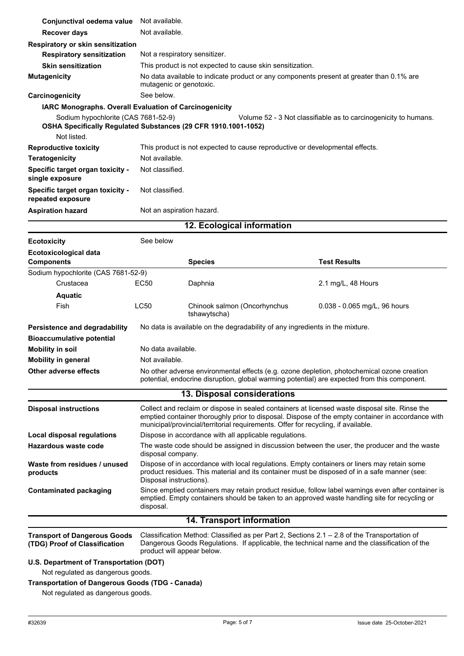| Conjunctival oedema value                                                                                            |                    | Not available.                                                                                                                                                                                                                                                                           |                                                                                                                                                                                              |  |
|----------------------------------------------------------------------------------------------------------------------|--------------------|------------------------------------------------------------------------------------------------------------------------------------------------------------------------------------------------------------------------------------------------------------------------------------------|----------------------------------------------------------------------------------------------------------------------------------------------------------------------------------------------|--|
|                                                                                                                      |                    |                                                                                                                                                                                                                                                                                          |                                                                                                                                                                                              |  |
| <b>Recover days</b>                                                                                                  | Not available.     |                                                                                                                                                                                                                                                                                          |                                                                                                                                                                                              |  |
| Respiratory or skin sensitization                                                                                    |                    |                                                                                                                                                                                                                                                                                          |                                                                                                                                                                                              |  |
| <b>Respiratory sensitization</b>                                                                                     |                    | Not a respiratory sensitizer.                                                                                                                                                                                                                                                            |                                                                                                                                                                                              |  |
| <b>Skin sensitization</b>                                                                                            |                    | This product is not expected to cause skin sensitization.                                                                                                                                                                                                                                |                                                                                                                                                                                              |  |
| <b>Mutagenicity</b>                                                                                                  |                    | No data available to indicate product or any components present at greater than 0.1% are<br>mutagenic or genotoxic.                                                                                                                                                                      |                                                                                                                                                                                              |  |
| Carcinogenicity                                                                                                      | See below.         |                                                                                                                                                                                                                                                                                          |                                                                                                                                                                                              |  |
| IARC Monographs. Overall Evaluation of Carcinogenicity                                                               |                    |                                                                                                                                                                                                                                                                                          |                                                                                                                                                                                              |  |
| Sodium hypochlorite (CAS 7681-52-9)<br>OSHA Specifically Regulated Substances (29 CFR 1910.1001-1052)<br>Not listed. |                    |                                                                                                                                                                                                                                                                                          | Volume 52 - 3 Not classifiable as to carcinogenicity to humans.                                                                                                                              |  |
| <b>Reproductive toxicity</b>                                                                                         |                    | This product is not expected to cause reproductive or developmental effects.                                                                                                                                                                                                             |                                                                                                                                                                                              |  |
| <b>Teratogenicity</b>                                                                                                | Not available.     |                                                                                                                                                                                                                                                                                          |                                                                                                                                                                                              |  |
| Specific target organ toxicity -                                                                                     | Not classified.    |                                                                                                                                                                                                                                                                                          |                                                                                                                                                                                              |  |
| single exposure                                                                                                      |                    |                                                                                                                                                                                                                                                                                          |                                                                                                                                                                                              |  |
| Specific target organ toxicity -<br>repeated exposure                                                                | Not classified.    |                                                                                                                                                                                                                                                                                          |                                                                                                                                                                                              |  |
| <b>Aspiration hazard</b>                                                                                             |                    | Not an aspiration hazard.                                                                                                                                                                                                                                                                |                                                                                                                                                                                              |  |
| 12. Ecological information                                                                                           |                    |                                                                                                                                                                                                                                                                                          |                                                                                                                                                                                              |  |
| <b>Ecotoxicity</b>                                                                                                   | See below          |                                                                                                                                                                                                                                                                                          |                                                                                                                                                                                              |  |
| <b>Ecotoxicological data</b><br><b>Components</b>                                                                    |                    | <b>Species</b>                                                                                                                                                                                                                                                                           | <b>Test Results</b>                                                                                                                                                                          |  |
| Sodium hypochlorite (CAS 7681-52-9)                                                                                  |                    |                                                                                                                                                                                                                                                                                          |                                                                                                                                                                                              |  |
| Crustacea                                                                                                            | <b>EC50</b>        | Daphnia                                                                                                                                                                                                                                                                                  | 2.1 mg/L, 48 Hours                                                                                                                                                                           |  |
| <b>Aquatic</b>                                                                                                       |                    |                                                                                                                                                                                                                                                                                          |                                                                                                                                                                                              |  |
| Fish                                                                                                                 | LC50               | Chinook salmon (Oncorhynchus<br>tshawytscha)                                                                                                                                                                                                                                             | 0.038 - 0.065 mg/L, 96 hours                                                                                                                                                                 |  |
| Persistence and degradability                                                                                        |                    | No data is available on the degradability of any ingredients in the mixture.                                                                                                                                                                                                             |                                                                                                                                                                                              |  |
| <b>Bioaccumulative potential</b>                                                                                     |                    |                                                                                                                                                                                                                                                                                          |                                                                                                                                                                                              |  |
| <b>Mobility in soil</b>                                                                                              | No data available. |                                                                                                                                                                                                                                                                                          |                                                                                                                                                                                              |  |
| <b>Mobility in general</b>                                                                                           | Not available.     |                                                                                                                                                                                                                                                                                          |                                                                                                                                                                                              |  |
| Other adverse effects                                                                                                |                    | No other adverse environmental effects (e.g. ozone depletion, photochemical ozone creation                                                                                                                                                                                               |                                                                                                                                                                                              |  |
| potential, endocrine disruption, global warming potential) are expected from this component.                         |                    |                                                                                                                                                                                                                                                                                          |                                                                                                                                                                                              |  |
|                                                                                                                      |                    | 13. Disposal considerations                                                                                                                                                                                                                                                              |                                                                                                                                                                                              |  |
| <b>Disposal instructions</b>                                                                                         |                    | Collect and reclaim or dispose in sealed containers at licensed waste disposal site. Rinse the<br>emptied container thoroughly prior to disposal. Dispose of the empty container in accordance with<br>municipal/provincial/territorial requirements. Offer for recycling, if available. |                                                                                                                                                                                              |  |
| Local disposal regulations                                                                                           |                    | Dispose in accordance with all applicable regulations.                                                                                                                                                                                                                                   |                                                                                                                                                                                              |  |
| <b>Hazardous waste code</b>                                                                                          |                    | The waste code should be assigned in discussion between the user, the producer and the waste<br>disposal company.                                                                                                                                                                        |                                                                                                                                                                                              |  |
| Waste from residues / unused<br>products                                                                             |                    | Dispose of in accordance with local regulations. Empty containers or liners may retain some<br>product residues. This material and its container must be disposed of in a safe manner (see:<br>Disposal instructions).                                                                   |                                                                                                                                                                                              |  |
| <b>Contaminated packaging</b>                                                                                        | disposal.          | Since emptied containers may retain product residue, follow label warnings even after container is<br>emptied. Empty containers should be taken to an approved waste handling site for recycling or                                                                                      |                                                                                                                                                                                              |  |
|                                                                                                                      |                    | 14. Transport information                                                                                                                                                                                                                                                                |                                                                                                                                                                                              |  |
| <b>Transport of Dangerous Goods</b><br>(TDG) Proof of Classification                                                 |                    | product will appear below.                                                                                                                                                                                                                                                               | Classification Method: Classified as per Part 2, Sections 2.1 - 2.8 of the Transportation of<br>Dangerous Goods Regulations. If applicable, the technical name and the classification of the |  |

**U.S. Department of Transportation (DOT)**

Not regulated as dangerous goods.

#### **Transportation of Dangerous Goods (TDG - Canada)**

Not regulated as dangerous goods.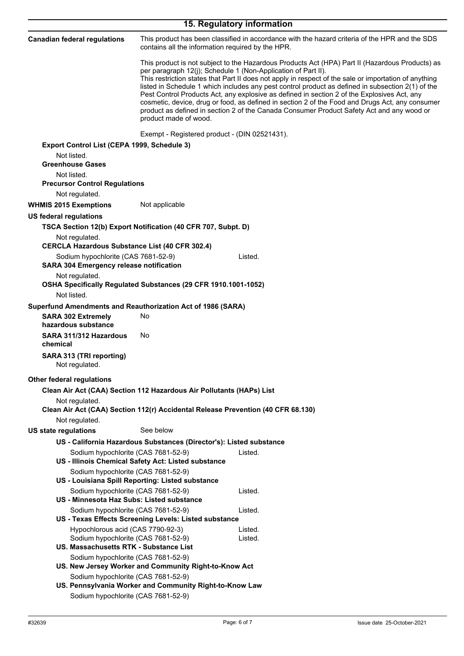| 15. Regulatory information                                                                                      |                                                                                  |                                                                                                                                                                                                                                                                                                                                                                                                                                                                                                                                                                                                                                                                               |  |
|-----------------------------------------------------------------------------------------------------------------|----------------------------------------------------------------------------------|-------------------------------------------------------------------------------------------------------------------------------------------------------------------------------------------------------------------------------------------------------------------------------------------------------------------------------------------------------------------------------------------------------------------------------------------------------------------------------------------------------------------------------------------------------------------------------------------------------------------------------------------------------------------------------|--|
| <b>Canadian federal regulations</b>                                                                             | contains all the information required by the HPR.                                | This product has been classified in accordance with the hazard criteria of the HPR and the SDS                                                                                                                                                                                                                                                                                                                                                                                                                                                                                                                                                                                |  |
|                                                                                                                 | product made of wood.                                                            | This product is not subject to the Hazardous Products Act (HPA) Part II (Hazardous Products) as<br>per paragraph 12(j); Schedule 1 (Non-Application of Part II).<br>This restriction states that Part II does not apply in respect of the sale or importation of anything<br>listed in Schedule 1 which includes any pest control product as defined in subsection 2(1) of the<br>Pest Control Products Act, any explosive as defined in section 2 of the Explosives Act, any<br>cosmetic, device, drug or food, as defined in section 2 of the Food and Drugs Act, any consumer<br>product as defined in section 2 of the Canada Consumer Product Safety Act and any wood or |  |
|                                                                                                                 | Exempt - Registered product - (DIN 02521431).                                    |                                                                                                                                                                                                                                                                                                                                                                                                                                                                                                                                                                                                                                                                               |  |
| Export Control List (CEPA 1999, Schedule 3)                                                                     |                                                                                  |                                                                                                                                                                                                                                                                                                                                                                                                                                                                                                                                                                                                                                                                               |  |
| Not listed.<br><b>Greenhouse Gases</b>                                                                          |                                                                                  |                                                                                                                                                                                                                                                                                                                                                                                                                                                                                                                                                                                                                                                                               |  |
| Not listed.<br><b>Precursor Control Regulations</b>                                                             |                                                                                  |                                                                                                                                                                                                                                                                                                                                                                                                                                                                                                                                                                                                                                                                               |  |
| Not regulated.                                                                                                  |                                                                                  |                                                                                                                                                                                                                                                                                                                                                                                                                                                                                                                                                                                                                                                                               |  |
| <b>WHMIS 2015 Exemptions</b>                                                                                    | Not applicable                                                                   |                                                                                                                                                                                                                                                                                                                                                                                                                                                                                                                                                                                                                                                                               |  |
| <b>US federal regulations</b>                                                                                   |                                                                                  |                                                                                                                                                                                                                                                                                                                                                                                                                                                                                                                                                                                                                                                                               |  |
|                                                                                                                 | TSCA Section 12(b) Export Notification (40 CFR 707, Subpt. D)                    |                                                                                                                                                                                                                                                                                                                                                                                                                                                                                                                                                                                                                                                                               |  |
| Not regulated.<br><b>CERCLA Hazardous Substance List (40 CFR 302.4)</b>                                         |                                                                                  |                                                                                                                                                                                                                                                                                                                                                                                                                                                                                                                                                                                                                                                                               |  |
| Sodium hypochlorite (CAS 7681-52-9)<br><b>SARA 304 Emergency release notification</b>                           |                                                                                  | Listed.                                                                                                                                                                                                                                                                                                                                                                                                                                                                                                                                                                                                                                                                       |  |
| Not regulated.                                                                                                  | OSHA Specifically Regulated Substances (29 CFR 1910.1001-1052)                   |                                                                                                                                                                                                                                                                                                                                                                                                                                                                                                                                                                                                                                                                               |  |
| Not listed.                                                                                                     |                                                                                  |                                                                                                                                                                                                                                                                                                                                                                                                                                                                                                                                                                                                                                                                               |  |
| Superfund Amendments and Reauthorization Act of 1986 (SARA)<br><b>SARA 302 Extremely</b><br>hazardous substance | No                                                                               |                                                                                                                                                                                                                                                                                                                                                                                                                                                                                                                                                                                                                                                                               |  |
| SARA 311/312 Hazardous<br>chemical                                                                              | No.                                                                              |                                                                                                                                                                                                                                                                                                                                                                                                                                                                                                                                                                                                                                                                               |  |
| SARA 313 (TRI reporting)<br>Not regulated.                                                                      |                                                                                  |                                                                                                                                                                                                                                                                                                                                                                                                                                                                                                                                                                                                                                                                               |  |
| <b>Other federal regulations</b>                                                                                |                                                                                  |                                                                                                                                                                                                                                                                                                                                                                                                                                                                                                                                                                                                                                                                               |  |
| Not regulated.                                                                                                  | Clean Air Act (CAA) Section 112 Hazardous Air Pollutants (HAPs) List             |                                                                                                                                                                                                                                                                                                                                                                                                                                                                                                                                                                                                                                                                               |  |
|                                                                                                                 | Clean Air Act (CAA) Section 112(r) Accidental Release Prevention (40 CFR 68.130) |                                                                                                                                                                                                                                                                                                                                                                                                                                                                                                                                                                                                                                                                               |  |
| Not regulated.                                                                                                  |                                                                                  |                                                                                                                                                                                                                                                                                                                                                                                                                                                                                                                                                                                                                                                                               |  |
| <b>US state regulations</b>                                                                                     | See below                                                                        |                                                                                                                                                                                                                                                                                                                                                                                                                                                                                                                                                                                                                                                                               |  |
|                                                                                                                 | US - California Hazardous Substances (Director's): Listed substance              |                                                                                                                                                                                                                                                                                                                                                                                                                                                                                                                                                                                                                                                                               |  |
| Sodium hypochlorite (CAS 7681-52-9)                                                                             | US - Illinois Chemical Safety Act: Listed substance                              | Listed.                                                                                                                                                                                                                                                                                                                                                                                                                                                                                                                                                                                                                                                                       |  |
| Sodium hypochlorite (CAS 7681-52-9)                                                                             | US - Louisiana Spill Reporting: Listed substance                                 |                                                                                                                                                                                                                                                                                                                                                                                                                                                                                                                                                                                                                                                                               |  |
| Sodium hypochlorite (CAS 7681-52-9)<br>US - Minnesota Haz Subs: Listed substance                                |                                                                                  | Listed.                                                                                                                                                                                                                                                                                                                                                                                                                                                                                                                                                                                                                                                                       |  |
| Sodium hypochlorite (CAS 7681-52-9)                                                                             | US - Texas Effects Screening Levels: Listed substance                            | Listed.                                                                                                                                                                                                                                                                                                                                                                                                                                                                                                                                                                                                                                                                       |  |
| Hypochlorous acid (CAS 7790-92-3)<br>Sodium hypochlorite (CAS 7681-52-9)                                        |                                                                                  | Listed.<br>Listed.                                                                                                                                                                                                                                                                                                                                                                                                                                                                                                                                                                                                                                                            |  |
| US. Massachusetts RTK - Substance List                                                                          |                                                                                  |                                                                                                                                                                                                                                                                                                                                                                                                                                                                                                                                                                                                                                                                               |  |
| Sodium hypochlorite (CAS 7681-52-9)                                                                             | US. New Jersey Worker and Community Right-to-Know Act                            |                                                                                                                                                                                                                                                                                                                                                                                                                                                                                                                                                                                                                                                                               |  |
| Sodium hypochlorite (CAS 7681-52-9)                                                                             |                                                                                  |                                                                                                                                                                                                                                                                                                                                                                                                                                                                                                                                                                                                                                                                               |  |
| Sodium hypochlorite (CAS 7681-52-9)                                                                             | US. Pennsylvania Worker and Community Right-to-Know Law                          |                                                                                                                                                                                                                                                                                                                                                                                                                                                                                                                                                                                                                                                                               |  |